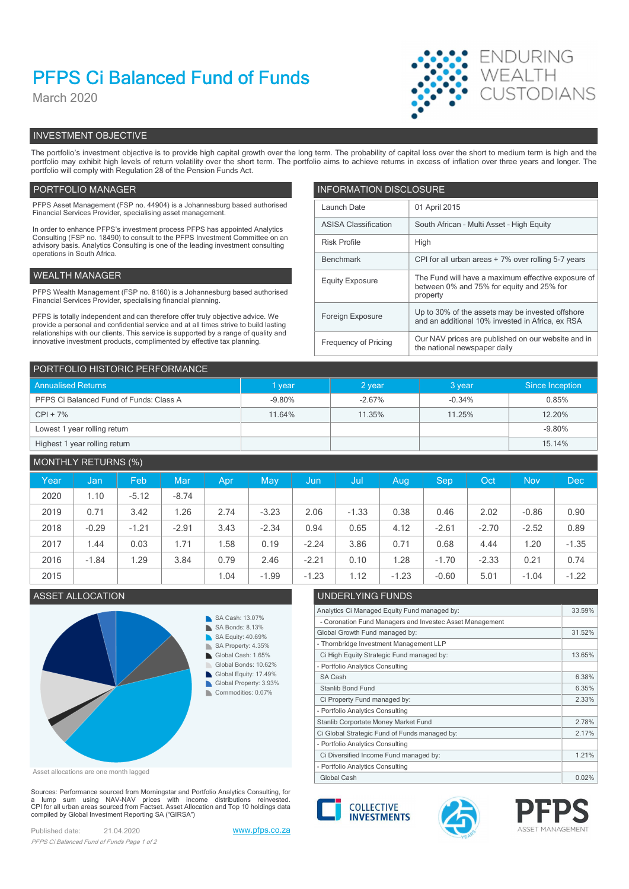# PFPS Ci Balanced Fund of Funds

March 2020



# INVESTMENT OBJECTIVE

The portfolio's investment objective is to provide high capital growth over the long term. The probability of capital loss over the short to medium term is high and the portfolio may exhibit high levels of return volatility over the short term. The portfolio aims to achieve returns in excess of inflation over three years and longer. The portfolio will comply with Regulation 28 of the Pension Funds Act.

# PORTFOLIO MANAGER **INFORMATION DISCLOSURE**

| PFPS Asset Management (FSP no. 44904) is a Johannesburg based authorised<br>Financial Services Provider, specialising asset management.                                | Launch Date                 | 01 April 2015                                                                                        |
|------------------------------------------------------------------------------------------------------------------------------------------------------------------------|-----------------------------|------------------------------------------------------------------------------------------------------|
| In order to enhance PFPS's investment process PFPS has appointed Analytics                                                                                             | <b>ASISA Classification</b> | South African - Multi Asset - High Equity                                                            |
| Consulting (FSP no. 18490) to consult to the PFPS Investment Committee on an<br>advisory basis. Analytics Consulting is one of the leading investment consulting       | <b>Risk Profile</b><br>High |                                                                                                      |
| operations in South Africa.                                                                                                                                            | Benchmark                   | CPI for all urban areas + 7% over rolling 5-7 years                                                  |
| WEALTH MANAGER                                                                                                                                                         | <b>Equity Exposure</b>      | The Fund will have a maximum effective exposure of                                                   |
| PFPS Wealth Management (FSP no. 8160) is a Johannesburg based authorised<br>Financial Services Provider, specialising financial planning.                              |                             | between 0% and 75% for equity and 25% for<br>property                                                |
| PFPS is totally independent and can therefore offer truly objective advice. We<br>provide a personal and confidential service and at all times strive to build lasting | Foreign Exposure            | Up to 30% of the assets may be invested offshore<br>and an additional 10% invested in Africa, ex RSA |
| relationships with our clients. This service is supported by a range of quality and<br>innovative investment products, complimented by effective tax planning.         | Frequency of Pricing        | Our NAV prices are published on our website and in<br>the national newspaper daily                   |

| PORTFOLIO HISTORIC PERFORMANCE          |          |          |          |                 |  |  |  |
|-----------------------------------------|----------|----------|----------|-----------------|--|--|--|
| <b>Annualised Returns</b>               | I year   | $2$ year | 3 year   | Since Inception |  |  |  |
| PFPS Ci Balanced Fund of Funds: Class A | $-9.80%$ | $-2.67%$ | $-0.34%$ | 0.85%           |  |  |  |
| $CPI + 7%$                              | 11.64%   | 11.35%   | 11.25%   | 12.20%          |  |  |  |
| Lowest 1 year rolling return            |          |          |          | $-9.80%$        |  |  |  |
| Highest 1 year rolling return           |          |          |          | 15.14%          |  |  |  |

# MONTHLY RETURNS (%)

| Year | Jan,    | Feb     | Mar     | Apr  | May     | Jun     | /Jul    | Aug     | <b>Sep</b> | Oct     | <b>Nov</b> | Dec     |
|------|---------|---------|---------|------|---------|---------|---------|---------|------------|---------|------------|---------|
| 2020 | 1.10    | $-5.12$ | $-8.74$ |      |         |         |         |         |            |         |            |         |
| 2019 | 0.71    | 3.42    | 1.26    | 2.74 | $-3.23$ | 2.06    | $-1.33$ | 0.38    | 0.46       | 2.02    | $-0.86$    | 0.90    |
| 2018 | $-0.29$ | $-1.21$ | $-2.91$ | 3.43 | $-2.34$ | 0.94    | 0.65    | 4.12    | $-2.61$    | $-2.70$ | $-2.52$    | 0.89    |
| 2017 | 1.44    | 0.03    | 1.71    | .58  | 0.19    | $-2.24$ | 3.86    | 0.71    | 0.68       | 4.44    | 1.20       | $-1.35$ |
| 2016 | $-1.84$ | .29     | 3.84    | 0.79 | 2.46    | $-2.21$ | 0.10    | .28     | $-1.70$    | $-2.33$ | 0.21       | 0.74    |
| 2015 |         |         |         | 1.04 | $-1.99$ | $-1.23$ | 1.12    | $-1.23$ | $-0.60$    | 5.01    | $-1.04$    | $-1.22$ |



Asset allocations are one month lagged

Sources: Performance sourced from Morningstar and Portfolio Analytics Consulting, for<br>a lump sum using NAV-NAV prices with income distributions reinvested.<br>CPI for all urban areas sourced from Factset. Asset Allocation an compiled by Global Investment Reporting SA ("GIRSA")

Published date: 21.04.2020 www.pfps.co.za PFPS Ci Balanced Fund of Funds Page 1 of 2